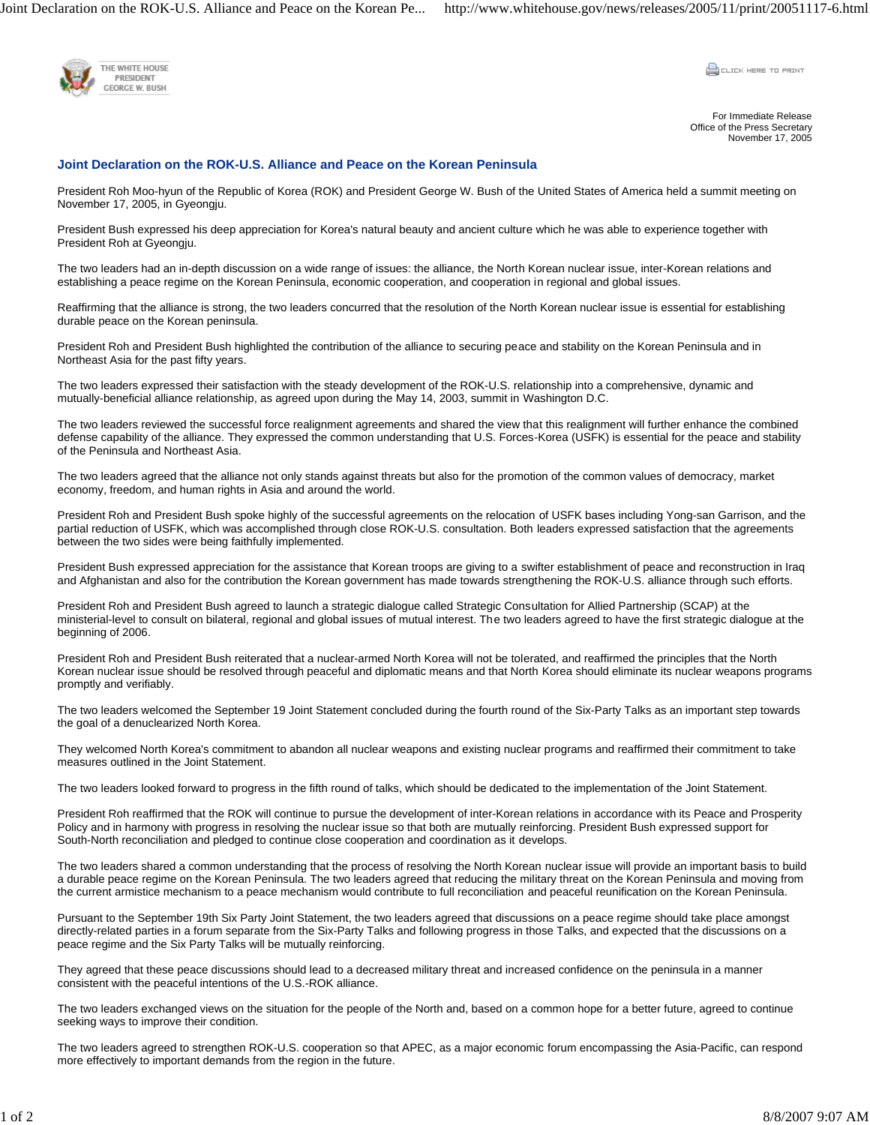Joint Declaration on the ROK-U.S. Alliance and Peace on the Korean Pe... http://www.whitehouse.gov/news/releases/2005/11/print/20051117-6.html



**COLLER HERE TO PRINT** 

For Immediate Release Office of the Press Secretary November 17, 2005

## **Joint Declaration on the ROK-U.S. Alliance and Peace on the Korean Peninsula**

President Roh Moo-hyun of the Republic of Korea (ROK) and President George W. Bush of the United States of America held a summit meeting on November 17, 2005, in Gyeongju.

President Bush expressed his deep appreciation for Korea's natural beauty and ancient culture which he was able to experience together with President Roh at Gyeongju.

The two leaders had an in-depth discussion on a wide range of issues: the alliance, the North Korean nuclear issue, inter-Korean relations and establishing a peace regime on the Korean Peninsula, economic cooperation, and cooperation in regional and global issues.

Reaffirming that the alliance is strong, the two leaders concurred that the resolution of the North Korean nuclear issue is essential for establishing durable peace on the Korean peninsula.

President Roh and President Bush highlighted the contribution of the alliance to securing peace and stability on the Korean Peninsula and in Northeast Asia for the past fifty years.

The two leaders expressed their satisfaction with the steady development of the ROK-U.S. relationship into a comprehensive, dynamic and mutually-beneficial alliance relationship, as agreed upon during the May 14, 2003, summit in Washington D.C.

The two leaders reviewed the successful force realignment agreements and shared the view that this realignment will further enhance the combined defense capability of the alliance. They expressed the common understanding that U.S. Forces-Korea (USFK) is essential for the peace and stability of the Peninsula and Northeast Asia.

The two leaders agreed that the alliance not only stands against threats but also for the promotion of the common values of democracy, market economy, freedom, and human rights in Asia and around the world.

President Roh and President Bush spoke highly of the successful agreements on the relocation of USFK bases including Yong-san Garrison, and the partial reduction of USFK, which was accomplished through close ROK-U.S. consultation. Both leaders expressed satisfaction that the agreements between the two sides were being faithfully implemented.

President Bush expressed appreciation for the assistance that Korean troops are giving to a swifter establishment of peace and reconstruction in Iraq and Afghanistan and also for the contribution the Korean government has made towards strengthening the ROK-U.S. alliance through such efforts.

President Roh and President Bush agreed to launch a strategic dialogue called Strategic Consultation for Allied Partnership (SCAP) at the ministerial-level to consult on bilateral, regional and global issues of mutual interest. The two leaders agreed to have the first strategic dialogue at the beginning of 2006.

President Roh and President Bush reiterated that a nuclear-armed North Korea will not be tolerated, and reaffirmed the principles that the North Korean nuclear issue should be resolved through peaceful and diplomatic means and that North Korea should eliminate its nuclear weapons programs promptly and verifiably.

The two leaders welcomed the September 19 Joint Statement concluded during the fourth round of the Six-Party Talks as an important step towards the goal of a denuclearized North Korea.

They welcomed North Korea's commitment to abandon all nuclear weapons and existing nuclear programs and reaffirmed their commitment to take measures outlined in the Joint Statement.

The two leaders looked forward to progress in the fifth round of talks, which should be dedicated to the implementation of the Joint Statement.

President Roh reaffirmed that the ROK will continue to pursue the development of inter-Korean relations in accordance with its Peace and Prosperity Policy and in harmony with progress in resolving the nuclear issue so that both are mutually reinforcing. President Bush expressed support for South-North reconciliation and pledged to continue close cooperation and coordination as it develops.

The two leaders shared a common understanding that the process of resolving the North Korean nuclear issue will provide an important basis to build a durable peace regime on the Korean Peninsula. The two leaders agreed that reducing the military threat on the Korean Peninsula and moving from the current armistice mechanism to a peace mechanism would contribute to full reconciliation and peaceful reunification on the Korean Peninsula.

Pursuant to the September 19th Six Party Joint Statement, the two leaders agreed that discussions on a peace regime should take place amongst directly-related parties in a forum separate from the Six-Party Talks and following progress in those Talks, and expected that the discussions on a peace regime and the Six Party Talks will be mutually reinforcing.

They agreed that these peace discussions should lead to a decreased military threat and increased confidence on the peninsula in a manner consistent with the peaceful intentions of the U.S.-ROK alliance.

The two leaders exchanged views on the situation for the people of the North and, based on a common hope for a better future, agreed to continue seeking ways to improve their condition.

The two leaders agreed to strengthen ROK-U.S. cooperation so that APEC, as a major economic forum encompassing the Asia-Pacific, can respond more effectively to important demands from the region in the future.